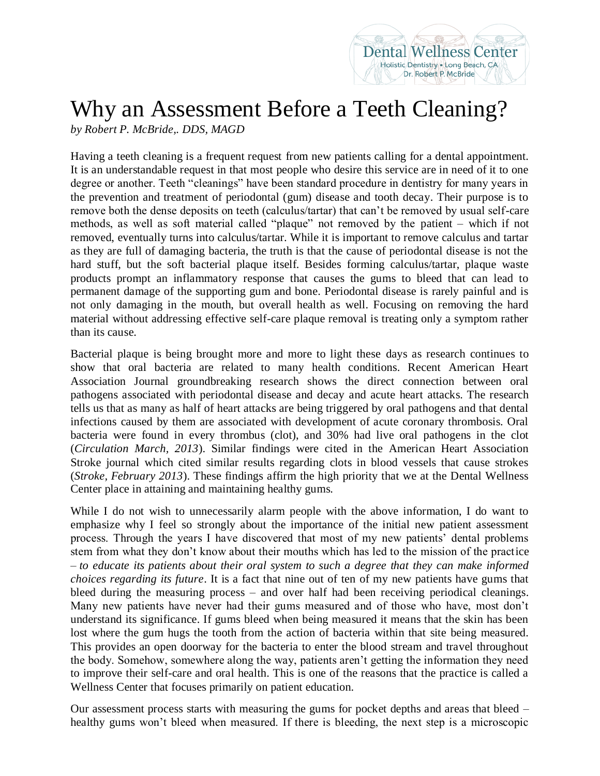## Why an Assessment Before a Teeth Cleaning?

**Dental Wellness Center** Holistic Dentistry Long Beach, CA Dr. Robert P. McBride

*by Robert P. McBride,. DDS, MAGD*

Having a teeth cleaning is a frequent request from new patients calling for a dental appointment. It is an understandable request in that most people who desire this service are in need of it to one degree or another. Teeth "cleanings" have been standard procedure in dentistry for many years in the prevention and treatment of periodontal (gum) disease and tooth decay. Their purpose is to remove both the dense deposits on teeth (calculus/tartar) that can't be removed by usual self-care methods, as well as soft material called "plaque" not removed by the patient – which if not removed, eventually turns into calculus/tartar. While it is important to remove calculus and tartar as they are full of damaging bacteria, the truth is that the cause of periodontal disease is not the hard stuff, but the soft bacterial plaque itself. Besides forming calculus/tartar, plaque waste products prompt an inflammatory response that causes the gums to bleed that can lead to permanent damage of the supporting gum and bone. Periodontal disease is rarely painful and is not only damaging in the mouth, but overall health as well. Focusing on removing the hard material without addressing effective self-care plaque removal is treating only a symptom rather than its cause.

Bacterial plaque is being brought more and more to light these days as research continues to show that oral bacteria are related to many health conditions. Recent American Heart Association Journal groundbreaking research shows the direct connection between oral pathogens associated with periodontal disease and decay and acute heart attacks. The research tells us that as many as half of heart attacks are being triggered by oral pathogens and that dental infections caused by them are associated with development of acute coronary thrombosis. Oral bacteria were found in every thrombus (clot), and 30% had live oral pathogens in the clot (*Circulation March, 2013*). Similar findings were cited in the American Heart Association Stroke journal which cited similar results regarding clots in blood vessels that cause strokes (*Stroke, February 2013*). These findings affirm the high priority that we at the Dental Wellness Center place in attaining and maintaining healthy gums.

While I do not wish to unnecessarily alarm people with the above information, I do want to emphasize why I feel so strongly about the importance of the initial new patient assessment process. Through the years I have discovered that most of my new patients' dental problems stem from what they don't know about their mouths which has led to the mission of the practice – *to educate its patients about their oral system to such a degree that they can make informed choices regarding its future*. It is a fact that nine out of ten of my new patients have gums that bleed during the measuring process – and over half had been receiving periodical cleanings. Many new patients have never had their gums measured and of those who have, most don't understand its significance. If gums bleed when being measured it means that the skin has been lost where the gum hugs the tooth from the action of bacteria within that site being measured. This provides an open doorway for the bacteria to enter the blood stream and travel throughout the body. Somehow, somewhere along the way, patients aren't getting the information they need to improve their self-care and oral health. This is one of the reasons that the practice is called a Wellness Center that focuses primarily on patient education.

Our assessment process starts with measuring the gums for pocket depths and areas that bleed – healthy gums won't bleed when measured. If there is bleeding, the next step is a microscopic